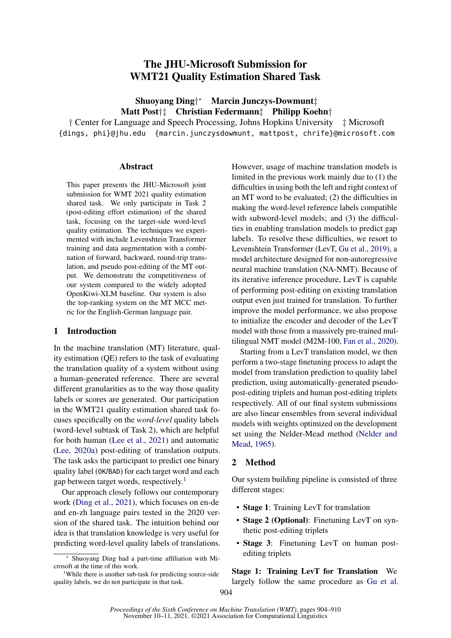# The JHU-Microsoft Submission for WMT21 Quality Estimation Shared Task

Shuoyang Ding† <sup>∗</sup> Marcin Junczys-Dowmunt‡ Matt Post†‡ Christian Federmann‡ Philipp Koehn†

† Center for Language and Speech Processing, Johns Hopkins University ‡ Microsoft {dings, phi}@jhu.edu {marcin.junczysdowmunt, mattpost, chrife}@microsoft.com

#### Abstract

This paper presents the JHU-Microsoft joint submission for WMT 2021 quality estimation shared task. We only participate in Task 2 (post-editing effort estimation) of the shared task, focusing on the target-side word-level quality estimation. The techniques we experimented with include Levenshtein Transformer training and data augmentation with a combination of forward, backward, round-trip translation, and pseudo post-editing of the MT output. We demonstrate the competitiveness of our system compared to the widely adopted OpenKiwi-XLM baseline. Our system is also the top-ranking system on the MT MCC metric for the English-German language pair.

## 1 Introductio[n](#page-0-0)

In the machine translation (MT) literature, quality estimation (QE) refers to the task of evaluating the translation quality of a system without using a human-generated reference. There are several different granularities as to the way those quality labels or scores are generated. Our participation in the WMT21 quality estimation shared task focuses specifically on the *word-level* quality labels (word-level subtask of Task 2), which are helpful for both human [\(Lee et al.,](#page-5-0) [2021\)](#page-5-0) and automatic [\(Lee,](#page-5-1) [2020a\)](#page-5-1) post-editing of translation outputs. The task asks the participant to predict one binary quality label (OK/BAD) for each target word and each gap between target words, respectively.<sup>[1](#page-0-1)</sup>

Our approach closely follows our contemporary work [\(Ding et al.,](#page-5-2) [2021\)](#page-5-2), which focuses on en-de and en-zh language pairs tested in the 2020 version of the shared task. The intuition behind our idea is that translation knowledge is very useful for predicting word-level quality labels of translations.

<span id="page-0-1"></span><sup>1</sup>While there is another sub-task for predicting source-side quality labels, we do not participate in that task.

However, usage of machine translation models is limited in the previous work mainly due to (1) the difficulties in using both the left and right context of an MT word to be evaluated; (2) the difficulties in making the word-level reference labels compatible with subword-level models; and (3) the difficulties in enabling translation models to predict gap labels. To resolve these difficulties, we resort to Levenshtein Transformer (LevT, [Gu et al.,](#page-5-3) [2019\)](#page-5-3), a model architecture designed for non-autoregressive neural machine translation (NA-NMT). Because of its iterative inference procedure, LevT is capable of performing post-editing on existing translation output even just trained for translation. To further improve the model performance, we also propose to initialize the encoder and decoder of the LevT model with those from a massively pre-trained multilingual NMT model (M2M-100, [Fan et al.,](#page-5-4) [2020\)](#page-5-4).

Starting from a LevT translation model, we then perform a two-stage finetuning process to adapt the model from translation prediction to quality label prediction, using automatically-generated pseudopost-editing triplets and human post-editing triplets respectively. All of our final system submissions are also linear ensembles from several individual models with weights optimized on the development set using the Nelder-Mead method [\(Nelder and](#page-6-0) [Mead,](#page-6-0) [1965\)](#page-6-0).

## 2 Method

Our system building pipeline is consisted of three different stages:

- Stage 1: Training LevT for translation
- Stage 2 (Optional): Finetuning LevT on synthetic post-editing triplets
- Stage 3: Finetuning LevT on human postediting triplets

Stage 1: Training LevT for Translation We largely follow the same procedure as [Gu et al.](#page-5-3)

<span id="page-0-0"></span><sup>∗</sup> Shuoyang Ding had a part-time affiliation with Microsoft at the time of this work.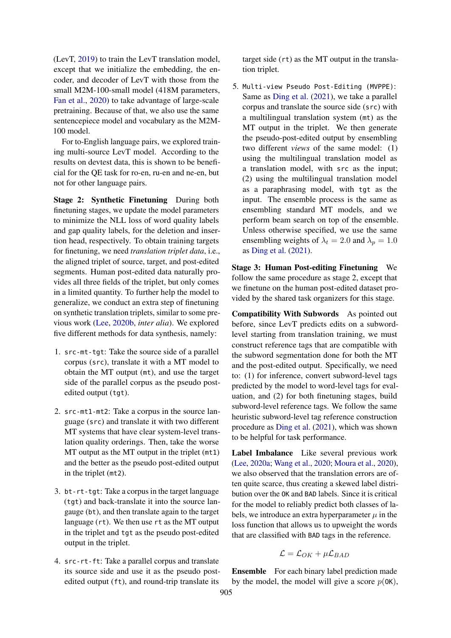(LevT, [2019\)](#page-5-3) to train the LevT translation model, except that we initialize the embedding, the encoder, and decoder of LevT with those from the small M2M-100-small model (418M parameters, [Fan et al.,](#page-5-4) [2020\)](#page-5-4) to take advantage of large-scale pretraining. Because of that, we also use the same sentencepiece model and vocabulary as the M2M-100 model.

For to-English language pairs, we explored training multi-source LevT model. According to the results on devtest data, this is shown to be beneficial for the QE task for ro-en, ru-en and ne-en, but not for other language pairs.

Stage 2: Synthetic Finetuning During both finetuning stages, we update the model parameters to minimize the NLL loss of word quality labels and gap quality labels, for the deletion and insertion head, respectively. To obtain training targets for finetuning, we need *translation triplet data*, i.e., the aligned triplet of source, target, and post-edited segments. Human post-edited data naturally provides all three fields of the triplet, but only comes in a limited quantity. To further help the model to generalize, we conduct an extra step of finetuning on synthetic translation triplets, similar to some previous work [\(Lee,](#page-5-5) [2020b,](#page-5-5) *inter alia*). We explored five different methods for data synthesis, namely:

- 1. src-mt-tgt: Take the source side of a parallel corpus (src), translate it with a MT model to obtain the MT output (mt), and use the target side of the parallel corpus as the pseudo postedited output (tgt).
- 2. src-mt1-mt2: Take a corpus in the source language (src) and translate it with two different MT systems that have clear system-level translation quality orderings. Then, take the worse MT output as the MT output in the triplet (mt1) and the better as the pseudo post-edited output in the triplet (mt2).
- 3. bt-rt-tgt: Take a corpus in the target language (tgt) and back-translate it into the source langauge (bt), and then translate again to the target language (rt). We then use rt as the MT output in the triplet and tgt as the pseudo post-edited output in the triplet.
- 4. src-rt-ft: Take a parallel corpus and translate its source side and use it as the pseudo postedited output (ft), and round-trip translate its

target side (rt) as the MT output in the translation triplet.

5. Multi-view Pseudo Post-Editing (MVPPE): Same as [Ding et al.](#page-5-2) [\(2021\)](#page-5-2), we take a parallel corpus and translate the source side (src) with a multilingual translation system (mt) as the MT output in the triplet. We then generate the pseudo-post-edited output by ensembling two different *views* of the same model: (1) using the multilingual translation model as a translation model, with src as the input; (2) using the multilingual translation model as a paraphrasing model, with tgt as the input. The ensemble process is the same as ensembling standard MT models, and we perform beam search on top of the ensemble. Unless otherwise specified, we use the same ensembling weights of  $\lambda_t = 2.0$  and  $\lambda_p = 1.0$ as [Ding et al.](#page-5-2) [\(2021\)](#page-5-2).

Stage 3: Human Post-editing Finetuning We follow the same procedure as stage 2, except that we finetune on the human post-edited dataset provided by the shared task organizers for this stage.

Compatibility With Subwords As pointed out before, since LevT predicts edits on a subwordlevel starting from translation training, we must construct reference tags that are compatible with the subword segmentation done for both the MT and the post-edited output. Specifically, we need to: (1) for inference, convert subword-level tags predicted by the model to word-level tags for evaluation, and (2) for both finetuning stages, build subword-level reference tags. We follow the same heuristic subword-level tag reference construction procedure as [Ding et al.](#page-5-2) [\(2021\)](#page-5-2), which was shown to be helpful for task performance.

Label Imbalance Like several previous work [\(Lee,](#page-5-1) [2020a;](#page-5-1) [Wang et al.,](#page-6-1) [2020;](#page-6-1) [Moura et al.,](#page-6-2) [2020\)](#page-6-2), we also observed that the translation errors are often quite scarce, thus creating a skewed label distribution over the OK and BAD labels. Since it is critical for the model to reliably predict both classes of labels, we introduce an extra hyperparameter  $\mu$  in the loss function that allows us to upweight the words that are classified with BAD tags in the reference.

$$
\mathcal{L} = \mathcal{L}_{OK} + \mu \mathcal{L}_{BAD}
$$

Ensemble For each binary label prediction made by the model, the model will give a score  $p(0K)$ ,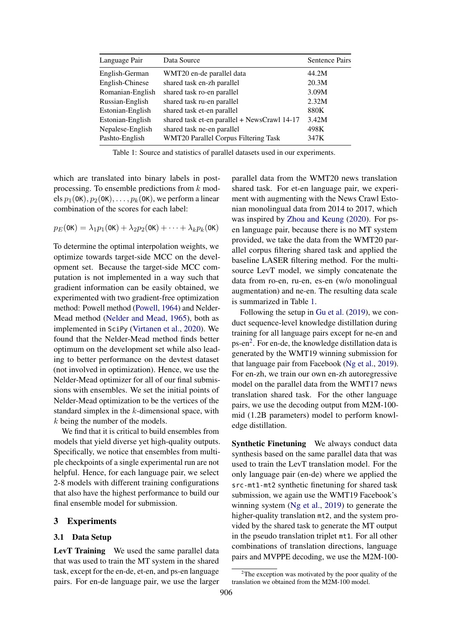<span id="page-2-0"></span>

| Language Pair    | Data Source                                  | Sentence Pairs |
|------------------|----------------------------------------------|----------------|
| English-German   | WMT20 en-de parallel data                    | 44.2M          |
| English-Chinese  | shared task en-zh parallel                   | 20.3M          |
| Romanian-English | shared task ro-en parallel                   | 3.09M          |
| Russian-English  | shared task ru-en parallel                   | 2.32M          |
| Estonian-English | shared task et-en parallel                   | 880K           |
| Estonian-English | shared task et-en parallel + NewsCrawl 14-17 | 3.42M          |
| Nepalese-English | shared task ne-en parallel                   | 498K           |
| Pashto-English   | WMT20 Parallel Corpus Filtering Task         | 347K           |

Table 1: Source and statistics of parallel datasets used in our experiments.

which are translated into binary labels in postprocessing. To ensemble predictions from k models  $p_1(0K), p_2(0K), \ldots, p_k(0K)$ , we perform a linear combination of the scores for each label:

$$
p_E(\mathbf{0K}) = \lambda_1 p_1(\mathbf{0K}) + \lambda_2 p_2(\mathbf{0K}) + \cdots + \lambda_k p_k(\mathbf{0K})
$$

To determine the optimal interpolation weights, we optimize towards target-side MCC on the development set. Because the target-side MCC computation is not implemented in a way such that gradient information can be easily obtained, we experimented with two gradient-free optimization method: Powell method [\(Powell,](#page-6-3) [1964\)](#page-6-3) and Nelder-Mead method [\(Nelder and Mead,](#page-6-0) [1965\)](#page-6-0), both as implemented in SciPy [\(Virtanen et al.,](#page-6-4) [2020\)](#page-6-4). We found that the Nelder-Mead method finds better optimum on the development set while also leading to better performance on the devtest dataset (not involved in optimization). Hence, we use the Nelder-Mead optimizer for all of our final submissions with ensembles. We set the initial points of Nelder-Mead optimization to be the vertices of the standard simplex in the  $k$ -dimensional space, with k being the number of the models.

We find that it is critical to build ensembles from models that yield diverse yet high-quality outputs. Specifically, we notice that ensembles from multiple checkpoints of a single experimental run are not helpful. Hence, for each language pair, we select 2-8 models with different training configurations that also have the highest performance to build our final ensemble model for submission.

## 3 Experiments

## 3.1 Data Setup

LevT Training We used the same parallel data that was used to train the MT system in the shared task, except for the en-de, et-en, and ps-en language pairs. For en-de language pair, we use the larger parallel data from the WMT20 news translation shared task. For et-en language pair, we experiment with augmenting with the News Crawl Estonian monolingual data from 2014 to 2017, which was inspired by [Zhou and Keung](#page-6-5) [\(2020\)](#page-6-5). For psen language pair, because there is no MT system provided, we take the data from the WMT20 parallel corpus filtering shared task and applied the baseline LASER filtering method. For the multisource LevT model, we simply concatenate the data from ro-en, ru-en, es-en (w/o monolingual augmentation) and ne-en. The resulting data scale is summarized in Table [1.](#page-2-0)

Following the setup in [Gu et al.](#page-5-3) [\(2019\)](#page-5-3), we conduct sequence-level knowledge distillation during training for all language pairs except for ne-en and ps-en<sup>[2](#page-2-1)</sup>. For en-de, the knowledge distillation data is generated by the WMT19 winning submission for that language pair from Facebook [\(Ng et al.,](#page-6-6) [2019\)](#page-6-6). For en-zh, we train our own en-zh autoregressive model on the parallel data from the WMT17 news translation shared task. For the other language pairs, we use the decoding output from M2M-100 mid (1.2B parameters) model to perform knowledge distillation.

Synthetic Finetuning We always conduct data synthesis based on the same parallel data that was used to train the LevT translation model. For the only language pair (en-de) where we applied the src-mt1-mt2 synthetic finetuning for shared task submission, we again use the WMT19 Facebook's winning system [\(Ng et al.,](#page-6-6) [2019\)](#page-6-6) to generate the higher-quality translation mt2, and the system provided by the shared task to generate the MT output in the pseudo translation triplet mt1. For all other combinations of translation directions, language pairs and MVPPE decoding, we use the M2M-100-

<span id="page-2-1"></span> $2$ The exception was motivated by the poor quality of the translation we obtained from the M2M-100 model.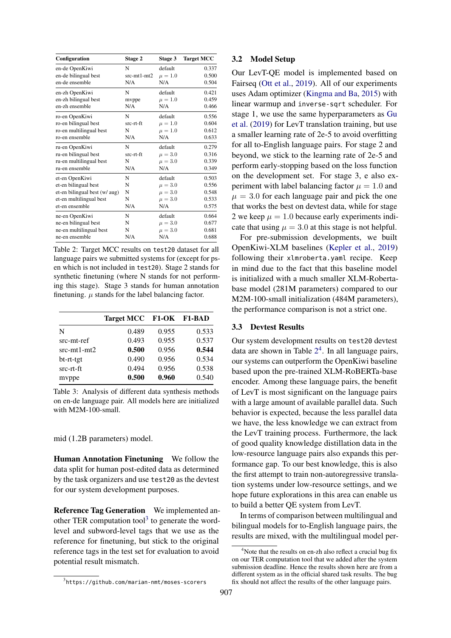<span id="page-3-1"></span>

| Configuration                 | Stage 2       | Stage 3     | <b>Target MCC</b> |  |  |  |
|-------------------------------|---------------|-------------|-------------------|--|--|--|
| en-de OpenKiwi                | N             | default     | 0.337             |  |  |  |
| en-de bilingual best          | $src-mt1-mt2$ | $\mu = 1.0$ | 0.500             |  |  |  |
| en-de ensemble                | N/A           | N/A         | 0.504             |  |  |  |
| en-zh OpenKiwi                | N             | default     | 0.421             |  |  |  |
| en-zh bilingual best          | mvppe         | $\mu = 1.0$ | 0.459             |  |  |  |
| en-zh ensemble                | N/A           | N/A         | 0.466             |  |  |  |
| ro-en OpenKiwi                | N             | default     | 0.556             |  |  |  |
| ro-en bilingual best          | src-rt-ft     | $\mu = 1.0$ | 0.604             |  |  |  |
| ro-en multilingual best       | N             | $\mu = 1.0$ | 0.612             |  |  |  |
| ro-en ensemble                | N/A           | N/A         | 0.633             |  |  |  |
| ru-en OpenKiwi                | N             | default     | 0.279             |  |  |  |
| ru-en bilingual best          | src-rt-ft     | $\mu = 3.0$ | 0.316             |  |  |  |
| ru-en multilingual best       | N             | $\mu = 3.0$ | 0.339             |  |  |  |
| ru-en ensemble                | N/A           | N/A         | 0.349             |  |  |  |
| et-en OpenKiwi                | N             | default     | 0.503             |  |  |  |
| et-en bilingual best          | N             | $\mu = 3.0$ | 0.556             |  |  |  |
| et-en bilingual best (w/ aug) | N             | $\mu = 3.0$ | 0.548             |  |  |  |
| et-en multilingual best       | N             | $\mu = 3.0$ | 0.533             |  |  |  |
| et-en ensemble                | N/A           | N/A         | 0.575             |  |  |  |
| ne-en OpenKiwi                | N             | default     | 0.664             |  |  |  |
| ne-en bilingual best          | N             | $\mu = 3.0$ | 0.677             |  |  |  |
| ne-en multilingual best       | N             | $\mu = 3.0$ | 0.681             |  |  |  |
| ne-en ensemble                | N/A           | N/A         | 0.688             |  |  |  |

Table 2: Target MCC results on test20 dataset for all language pairs we submitted systems for (except for psen which is not included in test20). Stage 2 stands for synthetic finetuning (where N stands for not performing this stage). Stage 3 stands for human annotation finetuning.  $\mu$  stands for the label balancing factor.

|               | <b>Target MCC</b> |       | <b>F1-OK F1-BAD</b> |
|---------------|-------------------|-------|---------------------|
| N             | 0.489             | 0.955 | 0.533               |
| src-mt-ref    | 0.493             | 0.955 | 0.537               |
| $src-mt1-mt2$ | 0.500             | 0.956 | 0.544               |
| bt-rt-tgt     | 0.490             | 0.956 | 0.534               |
| src-rt-ft     | 0.494             | 0.956 | 0.538               |
| mvppe         | 0.500             | 0.960 | 0.540               |

Table 3: Analysis of different data synthesis methods on en-de language pair. All models here are initialized with M2M-100-small.

mid (1.2B parameters) model.

Human Annotation Finetuning We follow the data split for human post-edited data as determined by the task organizers and use test20 as the devtest for our system development purposes.

Reference Tag Generation We implemented an-other TER computation tool<sup>[3](#page-3-0)</sup> to generate the wordlevel and subword-level tags that we use as the reference for finetuning, but stick to the original reference tags in the test set for evaluation to avoid potential result mismatch.

#### 3.2 Model Setup

Our LevT-QE model is implemented based on Fairseq [\(Ott et al.,](#page-6-7) [2019\)](#page-6-7). All of our experiments uses Adam optimizer [\(Kingma and Ba,](#page-5-6) [2015\)](#page-5-6) with linear warmup and inverse-sqrt scheduler. For stage 1, we use the same hyperparameters as [Gu](#page-5-3) [et al.](#page-5-3) [\(2019\)](#page-5-3) for LevT translation training, but use a smaller learning rate of 2e-5 to avoid overfitting for all to-English language pairs. For stage 2 and beyond, we stick to the learning rate of 2e-5 and perform early-stopping based on the loss function on the development set. For stage 3, e also experiment with label balancing factor  $\mu = 1.0$  and  $\mu = 3.0$  for each language pair and pick the one that works the best on devtest data, while for stage 2 we keep  $\mu = 1.0$  because early experiments indicate that using  $\mu = 3.0$  at this stage is not helpful.

For pre-submission developments, we built OpenKiwi-XLM baselines [\(Kepler et al.,](#page-5-7) [2019\)](#page-5-7) following their xlmroberta.yaml recipe. Keep in mind due to the fact that this baseline model is initialized with a much smaller XLM-Robertabase model (281M parameters) compared to our M2M-100-small initialization (484M parameters), the performance comparison is not a strict one.

## 3.3 Devtest Results

Our system development results on test20 devtest data are shown in Table  $2<sup>4</sup>$  $2<sup>4</sup>$  $2<sup>4</sup>$  $2<sup>4</sup>$ . In all language pairs, our systems can outperform the OpenKiwi baseline based upon the pre-trained XLM-RoBERTa-base encoder. Among these language pairs, the benefit of LevT is most significant on the language pairs with a large amount of available parallel data. Such behavior is expected, because the less parallel data we have, the less knowledge we can extract from the LevT training process. Furthermore, the lack of good quality knowledge distillation data in the low-resource language pairs also expands this performance gap. To our best knowledge, this is also the first attempt to train non-autoregressive translation systems under low-resource settings, and we hope future explorations in this area can enable us to build a better QE system from LevT.

In terms of comparison between multilingual and bilingual models for to-English language pairs, the results are mixed, with the multilingual model per-

<span id="page-3-0"></span> $^3$ https://github.com/marian-nmt/moses-scorers

<span id="page-3-2"></span><sup>&</sup>lt;sup>4</sup>Note that the results on en-zh also reflect a crucial bug fix on our TER computation tool that we added after the system submission deadline. Hence the results shown here are from a different system as in the official shared task results. The bug fix should not affect the results of the other language pairs.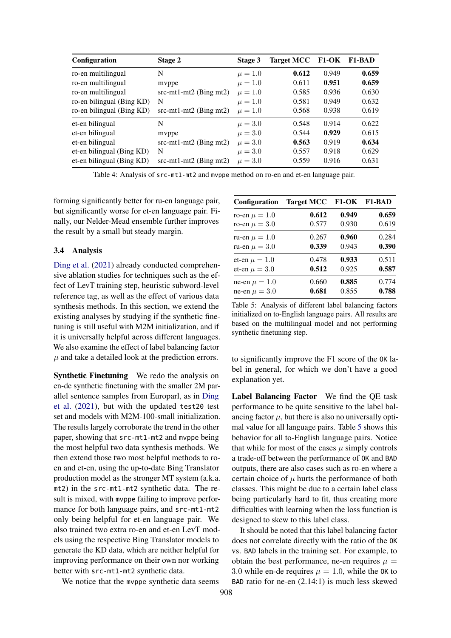| Configuration             | Stage 2                  | Stage 3     | <b>Target MCC</b> |       | F1-OK F1-BAD |
|---------------------------|--------------------------|-------------|-------------------|-------|--------------|
| ro-en multilingual        | N                        | $\mu = 1.0$ | 0.612             | 0.949 | 0.659        |
| ro-en multilingual        | myppe                    | $\mu = 1.0$ | 0.611             | 0.951 | 0.659        |
| ro-en multilingual        | $src-mt1-mt2$ (Bing mt2) | $\mu = 1.0$ | 0.585             | 0.936 | 0.630        |
| ro-en bilingual (Bing KD) | N                        | $\mu = 1.0$ | 0.581             | 0.949 | 0.632        |
| ro-en bilingual (Bing KD) | $src-mt1-mt2$ (Bing mt2) | $\mu = 1.0$ | 0.568             | 0.938 | 0.619        |
| et-en bilingual           | N                        | $\mu = 3.0$ | 0.548             | 0.914 | 0.622        |
| et-en bilingual           | myppe                    | $\mu = 3.0$ | 0.544             | 0.929 | 0.615        |
| et-en bilingual           | $src-mt1-mt2$ (Bing mt2) | $\mu = 3.0$ | 0.563             | 0.919 | 0.634        |
| et-en bilingual (Bing KD) | N                        | $\mu = 3.0$ | 0.557             | 0.918 | 0.629        |
| et-en bilingual (Bing KD) | $src-mt1-mt2$ (Bing mt2) | $\mu = 3.0$ | 0.559             | 0.916 | 0.631        |

Table 4: Analysis of src-mt1-mt2 and mvppe method on ro-en and et-en language pair.

forming significantly better for ru-en language pair, but significantly worse for et-en language pair. Finally, our Nelder-Mead ensemble further improves the result by a small but steady margin.

### 3.4 Analysis

[Ding et al.](#page-5-2) [\(2021\)](#page-5-2) already conducted comprehensive ablation studies for techniques such as the effect of LevT training step, heuristic subword-level reference tag, as well as the effect of various data synthesis methods. In this section, we extend the existing analyses by studying if the synthetic finetuning is still useful with M2M initialization, and if it is universally helpful across different languages. We also examine the effect of label balancing factor  $\mu$  and take a detailed look at the prediction errors.

Synthetic Finetuning We redo the analysis on en-de synthetic finetuning with the smaller 2M parallel sentence samples from Europarl, as in [Ding](#page-5-2) [et al.](#page-5-2) [\(2021\)](#page-5-2), but with the updated test20 test set and models with M2M-100-small initialization. The results largely corroborate the trend in the other paper, showing that src-mt1-mt2 and mvppe being the most helpful two data synthesis methods. We then extend those two most helpful methods to roen and et-en, using the up-to-date Bing Translator production model as the stronger MT system (a.k.a. mt2) in the src-mt1-mt2 synthetic data. The result is mixed, with mvppe failing to improve performance for both language pairs, and src-mt1-mt2 only being helpful for et-en language pair. We also trained two extra ro-en and et-en LevT models using the respective Bing Translator models to generate the KD data, which are neither helpful for improving performance on their own nor working better with src-mt1-mt2 synthetic data.

We notice that the mvppe synthetic data seems

<span id="page-4-0"></span>

| <b>Configuration</b> | <b>Target MCC</b> |       | <b>F1-OK F1-BAD</b> |
|----------------------|-------------------|-------|---------------------|
| ro-en $\mu = 1.0$    | 0.612             | 0.949 | 0.659               |
| ro-en $\mu = 3.0$    | 0.577             | 0.930 | 0.619               |
| ru-en $\mu = 1.0$    | 0.267             | 0.960 | 0.284               |
| ru-en $\mu = 3.0$    | 0.339             | 0.943 | 0.390               |
| et-en $\mu = 1.0$    | 0.478             | 0.933 | 0.511               |
| et-en $\mu = 3.0$    | 0.512             | 0.925 | 0.587               |
| ne-en $\mu = 1.0$    | 0.660             | 0.885 | 0.774               |
| ne-en $\mu = 3.0$    | 0.681             | 0.855 | 0.788               |

Table 5: Analysis of different label balancing factors initialized on to-English language pairs. All results are based on the multilingual model and not performing synthetic finetuning step.

to significantly improve the F1 score of the OK label in general, for which we don't have a good explanation yet.

Label Balancing Factor We find the QE task performance to be quite sensitive to the label balancing factor  $\mu$ , but there is also no universally optimal value for all language pairs. Table [5](#page-4-0) shows this behavior for all to-English language pairs. Notice that while for most of the cases  $\mu$  simply controls a trade-off between the performance of OK and BAD outputs, there are also cases such as ro-en where a certain choice of  $\mu$  hurts the performance of both classes. This might be due to a certain label class being particularly hard to fit, thus creating more difficulties with learning when the loss function is designed to skew to this label class.

It should be noted that this label balancing factor does not correlate directly with the ratio of the OK vs. BAD labels in the training set. For example, to obtain the best performance, ne-en requires  $\mu =$ 3.0 while en-de requires  $\mu = 1.0$ , while the OK to BAD ratio for ne-en (2.14:1) is much less skewed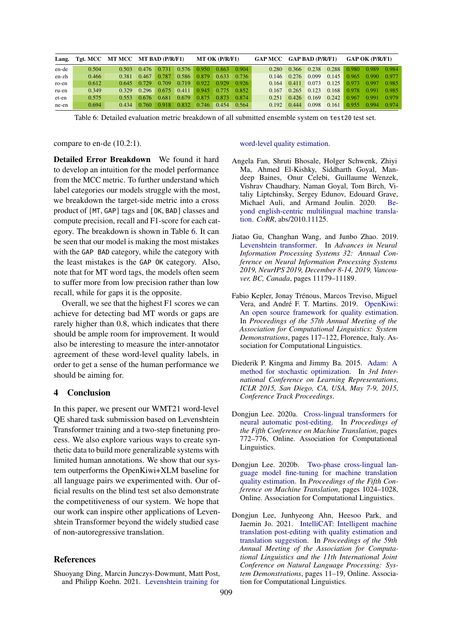<span id="page-5-8"></span>

| Lang. |       |       | Tgt. MCC MT MCC MT BAD (P/R/F1) |       |       | <b>MT OK (P/R/F1)</b> |       |       | GAP MCC GAP BAD (P/R/F1) |       |       | <b>GAP OK (P/R/F1)</b> |       |       |       |
|-------|-------|-------|---------------------------------|-------|-------|-----------------------|-------|-------|--------------------------|-------|-------|------------------------|-------|-------|-------|
| en-de | 0.504 | 0.503 | 0.476                           | 0.731 | 0.576 | 0.950                 | 0.863 | 0.904 | 0.280                    | 0.366 | 0.238 | 0.288                  | 0.980 | 0.989 | 0.984 |
| en-zh | 0.466 | 0.381 | 0.467                           | 0.787 | 0.586 | 0.879                 | 0.633 | 0.736 | 0.146                    | 0.276 | 0.099 | 0.145                  | 0.965 | 0.990 | 0.977 |
| ro-en | 0.612 | 0.645 | 0.729                           | 0.709 | 0.719 | 0.922                 | 0.929 | 0.926 | 0.164                    | 0.411 | 0.073 | 0.125                  | 0.973 | 0.997 | 0.985 |
| ru-en | 0.349 | 0.329 | 0.296                           | 0.675 | 0.411 | 0.945 0.775           |       | 0.852 | 0.167                    | 0.265 | 0.123 | 0.168                  | 0.978 | 0.991 | 0.985 |
| et-en | 0.575 | 0.553 | 0.676                           | 0.681 | 0.679 | 0.875                 | 0.873 | 0.874 | 0.251                    | 0.426 | 0.169 | 0.242                  | 0.967 | 0.991 | 0.979 |
| ne-en | 0.694 | 0.434 | 0.760                           | 0.918 | 0.832 | 0.746                 | 0.454 | 0.564 | 0.192                    | 0.444 | 0.098 | 0.161                  | 0.955 | 0.994 | 0.974 |

Table 6: Detailed evaluation metric breakdown of all submitted ensemble system on test20 test set.

compare to en-de (10.2:1).

Detailed Error Breakdown We found it hard to develop an intuition for the model performance from the MCC metric. To further understand which label categories our models struggle with the most, we breakdown the target-side metric into a cross product of {MT, GAP} tags and {OK, BAD} classes and compute precision, recall and F1-score for each category. The breakdown is shown in Table [6.](#page-5-8) It can be seen that our model is making the most mistakes with the GAP BAD category, while the category with the least mistakes is the GAP OK category. Also, note that for MT word tags, the models often seem to suffer more from low precision rather than low recall, while for gaps it is the opposite.

Overall, we see that the highest F1 scores we can achieve for detecting bad MT words or gaps are rarely higher than 0.8, which indicates that there should be ample room for improvement. It would also be interesting to measure the inter-annotator agreement of these word-level quality labels, in order to get a sense of the human performance we should be aiming for.

## 4 Conclusion

In this paper, we present our WMT21 word-level QE shared task submission based on Levenshtein Transformer training and a two-step finetuning process. We also explore various ways to create synthetic data to build more generalizable systems with limited human annotations. We show that our system outperforms the OpenKiwi+XLM baseline for all language pairs we experimented with. Our official results on the blind test set also demonstrate the competitiveness of our system. We hope that our work can inspire other applications of Levenshtein Transformer beyond the widely studied case of non-autoregressive translation.

#### References

<span id="page-5-2"></span>Shuoyang Ding, Marcin Junczys-Dowmunt, Matt Post, and Philipp Koehn. 2021. [Levenshtein training for](http://arxiv.org/abs/2109.05611)

#### [word-level quality estimation.](http://arxiv.org/abs/2109.05611)

- <span id="page-5-4"></span>Angela Fan, Shruti Bhosale, Holger Schwenk, Zhiyi Ma, Ahmed El-Kishky, Siddharth Goyal, Mandeep Baines, Onur Celebi, Guillaume Wenzek, Vishrav Chaudhary, Naman Goyal, Tom Birch, Vitaliy Liptchinsky, Sergey Edunov, Edouard Grave, Michael Auli, and Armand Joulin. 2020. [Be](http://arxiv.org/abs/2010.11125)[yond english-centric multilingual machine transla](http://arxiv.org/abs/2010.11125)[tion.](http://arxiv.org/abs/2010.11125) *CoRR*, abs/2010.11125.
- <span id="page-5-3"></span>Jiatao Gu, Changhan Wang, and Junbo Zhao. 2019. [Levenshtein transformer.](https://proceedings.neurips.cc/paper/2019/hash/675f9820626f5bc0afb47b57890b466e-Abstract.html) In *Advances in Neural Information Processing Systems 32: Annual Conference on Neural Information Processing Systems 2019, NeurIPS 2019, December 8-14, 2019, Vancouver, BC, Canada*, pages 11179–11189.
- <span id="page-5-7"></span>Fabio Kepler, Jonay Trénous, Marcos Treviso, Miguel Vera, and André F. T. Martins. 2019. [OpenKiwi:](https://doi.org/10.18653/v1/P19-3020) [An open source framework for quality estimation.](https://doi.org/10.18653/v1/P19-3020) In *Proceedings of the 57th Annual Meeting of the Association for Computational Linguistics: System Demonstrations*, pages 117–122, Florence, Italy. Association for Computational Linguistics.
- <span id="page-5-6"></span>Diederik P. Kingma and Jimmy Ba. 2015. [Adam: A](http://arxiv.org/abs/1412.6980) [method for stochastic optimization.](http://arxiv.org/abs/1412.6980) In *3rd International Conference on Learning Representations, ICLR 2015, San Diego, CA, USA, May 7-9, 2015, Conference Track Proceedings*.
- <span id="page-5-1"></span>Dongjun Lee. 2020a. [Cross-lingual transformers for](https://aclanthology.org/2020.wmt-1.81) [neural automatic post-editing.](https://aclanthology.org/2020.wmt-1.81) In *Proceedings of the Fifth Conference on Machine Translation*, pages 772–776, Online. Association for Computational Linguistics.
- <span id="page-5-5"></span>Dongjun Lee. 2020b. [Two-phase cross-lingual lan](https://aclanthology.org/2020.wmt-1.118)[guage model fine-tuning for machine translation](https://aclanthology.org/2020.wmt-1.118) [quality estimation.](https://aclanthology.org/2020.wmt-1.118) In *Proceedings of the Fifth Conference on Machine Translation*, pages 1024–1028, Online. Association for Computational Linguistics.
- <span id="page-5-0"></span>Dongjun Lee, Junhyeong Ahn, Heesoo Park, and Jaemin Jo. 2021. [IntelliCAT: Intelligent machine](https://doi.org/10.18653/v1/2021.acl-demo.2) [translation post-editing with quality estimation and](https://doi.org/10.18653/v1/2021.acl-demo.2) [translation suggestion.](https://doi.org/10.18653/v1/2021.acl-demo.2) In *Proceedings of the 59th Annual Meeting of the Association for Computational Linguistics and the 11th International Joint Conference on Natural Language Processing: System Demonstrations*, pages 11–19, Online. Association for Computational Linguistics.